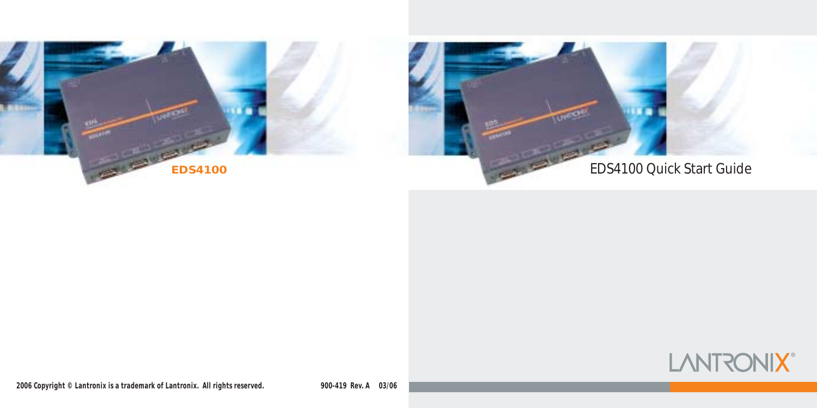

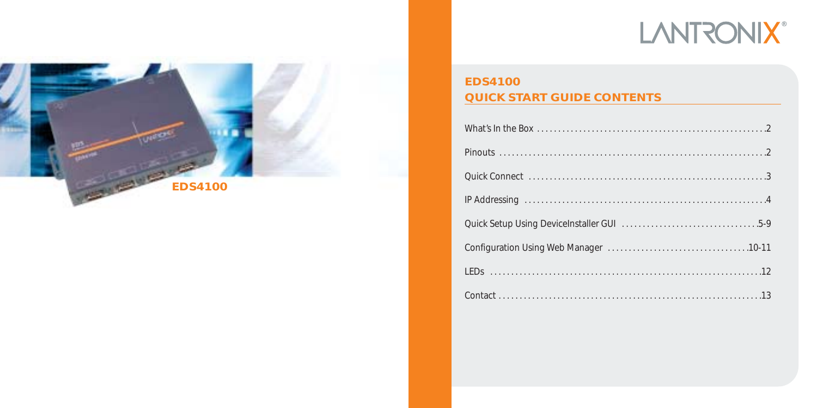# **LANTRONIX®**



# **EDS4100 QUICK START GUIDE CONTENTS**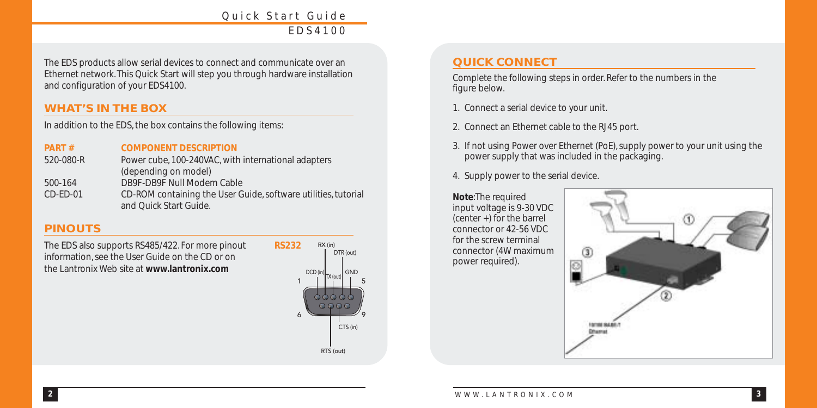The EDS products allow serial devices to connect and communicate over an Ethernet network. This Quick Start will step you through hardware installation and configuration of your EDS4100.

### **WHAT'S IN THE BOX**

In addition to the EDS, the box contains the following items:

#### **PART # COMPONENT DESCRIPTION**

| 520-080-R  | Power cube, 100-240VAC, with international adapters            |
|------------|----------------------------------------------------------------|
|            | (depending on model)                                           |
| 500-164    | DB9F-DB9F Null Modem Cable                                     |
| $CD-ED-01$ | CD-ROM containing the User Guide, software utilities, tutorial |
|            | and Quick Start Guide.                                         |

# **PINOUTS**

The EDS also supports RS485/422. For more pinout information, see the User Guide on the CD or on the Lantronix Web site at **www.lantronix.com**



# **QUICK CONNECT**

Complete the following steps in order. Refer to the numbers in the figure below.

- 1. Connect a serial device to your unit.
- 2. Connect an Ethernet cable to the RJ45 port.
- 3. If not using Power over Ethernet (PoE), supply power to your unit using the power supply that was included in the packaging.
- 4. Supply power to the serial device.

#### **Note**:The required input voltage is 9-30 VDC (center +) for the barrel connector or 42-56 VDC for the screw terminal connector (4W maximum power required).

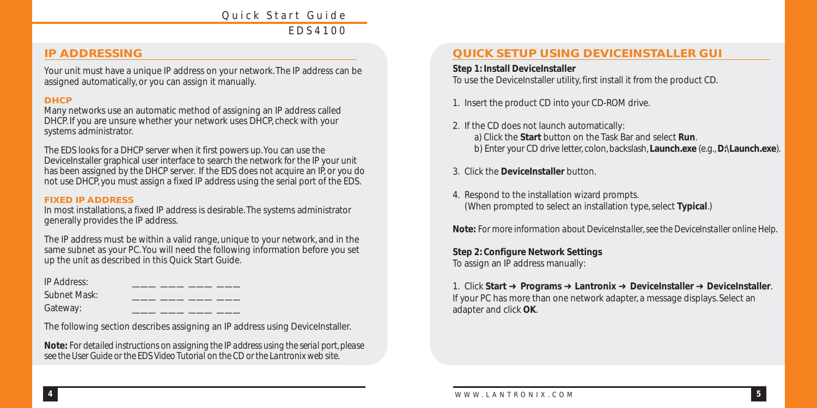### **IP ADDRESSING**

Your unit must have a unique IP address on your network. The IP address can be assigned automatically, or you can assign it manually.

#### **DHCP**

Many networks use an automatic method of assigning an IP address called DHCP. If you are unsure whether your network uses DHCP, check with your systems administrator.

The EDS looks for a DHCP server when it first powers up.You can use the DeviceInstaller graphical user interface to search the network for the IP your unit has been assigned by the DHCP server. If the EDS does not acquire an IP, or you do not use DHCP, you must assign a fixed IP address using the serial port of the EDS.

#### **FIXED IP ADDRESS**

In most installations, a fixed IP address is desirable. The systems administrator generally provides the IP address.

The IP address must be within a valid range, unique to your network, and in the same subnet as your PC. You will need the following information before you set up the unit as described in this Quick Start Guide.

IP Address:

Subnet Mask:

Gateway:

The following section describes assigning an IP address using DeviceInstaller.

**Note:** *For detailed instructions on assigning the IP address using the serial port, please see the User Guide or the EDS Video Tutorial on the CD or the Lantronix web site.*

# **QUICK SETUP USING DEVICEINSTALLER GUI**

#### **Step 1: Install DeviceInstaller**

To use the DeviceInstaller utility, first install it from the product CD.

1. Insert the product CD into your CD-ROM drive.

- 2. If the CD does not launch automatically: a) Click the **Start** button on the Task Bar and select **Run**. b) Enter your CD drive letter, colon, backslash, **Launch.exe** (e.g.,**D:\Launch.exe**).
- 3. Click the **DeviceInstaller** button.
- 4. Respond to the installation wizard prompts. (When prompted to select an installation type, select **Typical**.)

**Note:** *For more information about DeviceInstaller, see the DeviceInstaller online Help.*

**Step 2: Configure Network Settings** To assign an IP address manually:

1. Click **Start** ➜ **Programs** ➜ **Lantronix** ➜ **DeviceInstaller** ➜ **DeviceInstaller**. If your PC has more than one network adapter, a message displays. Select an adapter and click **OK**.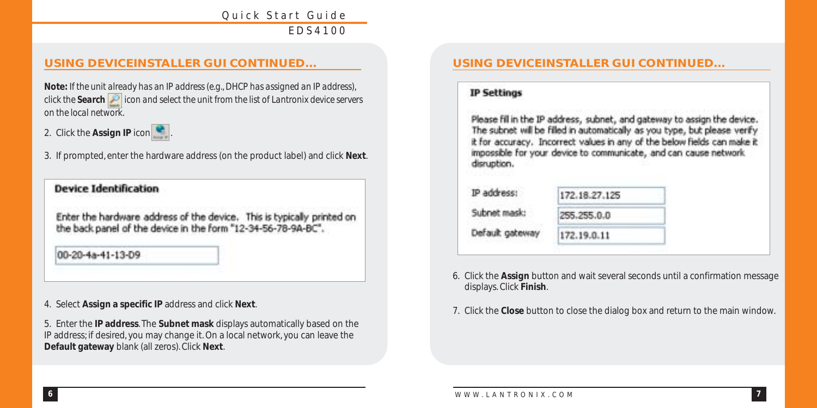# **USING DEVICEINSTALLER GUI CONTINUED…**

**Note:** *If the unit already has an IP address (e.g., DHCP has assigned an IP address), click the Search icon and select the unit from the list of Lantronix device servers on the local network*.

2. Click the **Assign IP** icon

3. If prompted, enter the hardware address (on the product label) and click **Next**.

**Device Identification** 

Enter the hardware address of the device. This is typically printed on the back panel of the device in the form "12-34-56-78-9A-BC".

00-20-4a-41-13-D9

4. Select **Assign a specific IP** address and click **Next**.

5. Enter the **IP address**. The **Subnet mask** displays automatically based on the IP address; if desired, you may change it. On a local network, you can leave the **Default gateway** blank (all zeros). Click **Next**.

# **USING DEVICEINSTALLER GUI CONTINUED…**

#### **IP Settings**

Please fill in the IP address, subnet, and gateway to assign the device.<br>The subnet will be filled in automatically as you type, but please verify it for accuracy. Incorrect values in any of the below fields can make it impossible for your device to communicate, and can cause network disruption.

| IP address:     | 172.18.27.125 |  |
|-----------------|---------------|--|
| Subnet mask:    | 255.255.0.0   |  |
| Default gateway | 172.19.0.11   |  |

- 6. Click the **Assign** button and wait several seconds until a confirmation message displays. Click **Finish**.
- 7. Click the **Close** button to close the dialog box and return to the main window.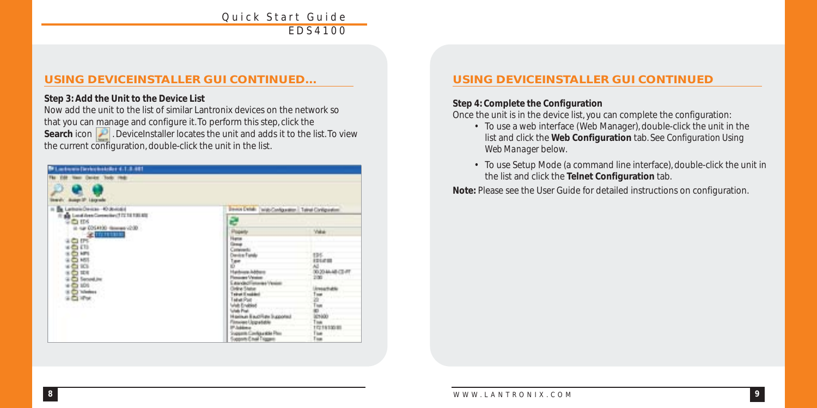# **USING DEVICEINSTALLER GUI CONTINUED…**

#### **Step 3: Add the Unit to the Device List**

Now add the unit to the list of similar Lantronix devices on the network so that you can manage and configure it. To perform this step, click the **Search** icon **.** DeviceInstaller locates the unit and adds it to the list. To view the current configuration, double-click the unit in the list.

| <b>W1.mdo.um (levicologie) 4.1.8.481</b>                                              |                                                                                                                                                                                                                                                                                                                  |                                                                                                                             |  |
|---------------------------------------------------------------------------------------|------------------------------------------------------------------------------------------------------------------------------------------------------------------------------------------------------------------------------------------------------------------------------------------------------------------|-----------------------------------------------------------------------------------------------------------------------------|--|
| time Oat4m Tools rink:                                                                |                                                                                                                                                                                                                                                                                                                  |                                                                                                                             |  |
| <b>Insular August 14 Lawrence</b>                                                     |                                                                                                                                                                                                                                                                                                                  |                                                                                                                             |  |
| <b>Sa Lathow Devices 40 devices</b>                                                   | Devos Defali: (wido Configuration). Talinal Configuration)                                                                                                                                                                                                                                                       |                                                                                                                             |  |
| <b>B</b> Lead Ann Committer of IT 18 190 KG                                           | a                                                                                                                                                                                                                                                                                                                |                                                                                                                             |  |
| 00:54 comment 00:54 20 Sat 10<br>$-2$ mmmm                                            |                                                                                                                                                                                                                                                                                                                  | <b>Vida</b>                                                                                                                 |  |
| $^{10.05}_{10.01}$<br>18년<br>$+6401$<br><b>SER</b> Securities<br>$+61101$<br>$28 - 1$ | in<br>China<br>China<br><b>Handmare, Indebane</b><br>Plemaster Victorian<br>EatodedTeteres/Yesim<br>Orine State<br>Teinet (Creation)<br>Teinet (Pas)<br>Vrieh (Creation)<br>Use Pat<br>Harmer East Fate Supported<br>Finseine Upgradelle<br>IP Jublice<br>Suggests Configuratio Plus<br>Supports E mail Triggers | <b>IBE</b><br>itiem<br>00204440349<br><b>Insurate</b><br>m<br>$\frac{1}{2}$<br>icsido -<br><b>Links</b><br>17219100301<br>E |  |

# **USING DEVICEINSTALLER GUI CONTINUED**

#### **Step 4: Complete the Configuration**

Once the unit is in the device list, you can complete the configuration:

- To use a web interface (Web Manager), double-click the unit in the list and click the **Web Configuration** tab. See *Configuration Using Web Manager* below.
- To use Setup Mode (a command line interface), double-click the unit in the list and click the **Telnet Configuration** tab.

**Note:** Please see the User Guide for detailed instructions on configuration.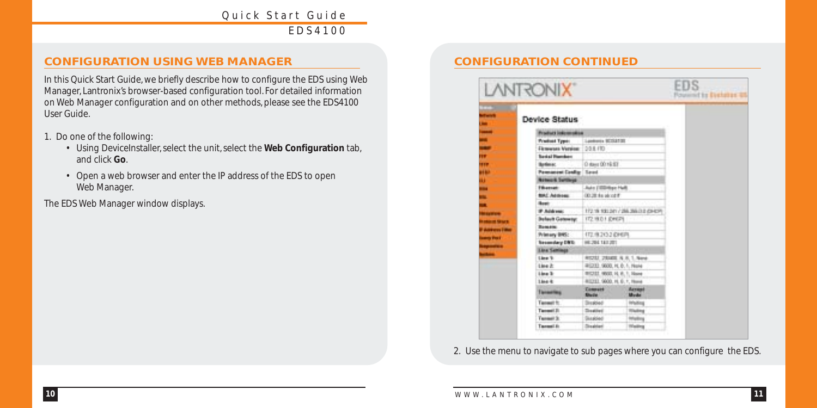# **CONFIGURATION USING WEB MANAGER CONFIGURATION CONTINUED**

In this Quick Start Guide, we briefly describe how to configure the EDS using Web Manager, Lantronix's browser-based configuration tool. For detailed information on Web Manager configuration and on other methods, please see the EDS4100 User Guide.

- 1. Do one of the following:
	- Using DeviceInstaller, select the unit, select the **Web Configuration** tab, and click **Go**.
	- Open a web browser and enter the IP address of the EDS to open Web Manager.

The EDS Web Manager window displays.

|              | <b>LANTRONIX</b>               |                                   |                   | EDS<br>Fouriert to Detable & |
|--------------|--------------------------------|-----------------------------------|-------------------|------------------------------|
|              | Device Status                  |                                   |                   |                              |
|              | Product indexendent            |                                   |                   |                              |
| E            | Predicat Type:                 | Londonia 92154720                 |                   |                              |
|              | <b><i>Elementa Version</i></b> | 0.9.8.470                         |                   |                              |
|              | <b>Serial Planders</b>         |                                   |                   |                              |
| m            | <b>Betless:</b>                | 0 days 00:16:57                   |                   |                              |
| of M         | <b>Password Config   Saved</b> |                                   |                   |                              |
| ш            | <b>Armork Settings</b>         |                                   |                   |                              |
|              | <b>Filiaman</b>                | July 1999 Not                     |                   |                              |
|              | <b>BACAGING</b>                | 00.28.4a ak of f                  |                   |                              |
|              | <b>Basic</b>                   |                                   |                   |                              |
|              | <b>FAMINE</b>                  | 17219 100 241 / 255 265 28 (2542) |                   |                              |
|              | <b>Belauft Gateway:</b>        | T72 18.0 F (DWEP)                 |                   |                              |
|              | <b>Banking</b>                 |                                   |                   |                              |
| <b>Sight</b> | Printery BNS:                  | 172/82020101                      |                   |                              |
|              | <b>Secondary DNS</b>           | HE264 143,201                     |                   |                              |
|              | <b>Line Seminar</b>            |                                   |                   |                              |
|              | Line %                         | AUDIO 200000 N.R. 1. New          |                   |                              |
|              | Line 2:                        | 4912033 90000, PL D. F. Norse     |                   |                              |
|              | Line 3:                        | WICEL MOD, FL R, 1, New           |                   |                              |
|              | $14n+4$                        | 81111 9000, H. E. T. Howa         |                   |                              |
|              | Tenanting                      | Compath<br><b>Blude</b>           | Acrest<br>Mode    |                              |
|              | Tansail fr.                    | <b>Sixabled</b>                   | Infading          |                              |
|              | Tansat 31                      | <b>Zinglied</b>                   | <b>History</b>    |                              |
|              | Tunnell <sub>3</sub>           | Skapled                           | <b>Infusional</b> |                              |
|              | Taxanti in                     | <b>Strainland</b>                 | <b>Walling</b>    |                              |

2. Use the menu to navigate to sub pages where you can configure the EDS.